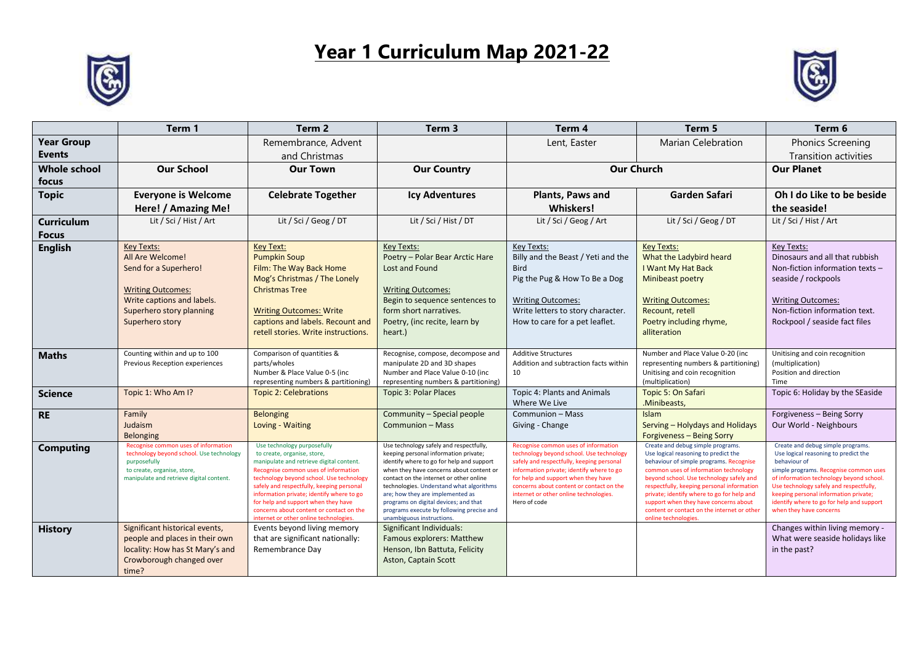## **Year 1 Curriculum Map 2021-22**





|                     | Term 1                                                                           | Term <sub>2</sub>                                                                | Term <sub>3</sub>                                                                   | Term 4                                                                           | Term 5                                                                              | Term 6                                                                             |
|---------------------|----------------------------------------------------------------------------------|----------------------------------------------------------------------------------|-------------------------------------------------------------------------------------|----------------------------------------------------------------------------------|-------------------------------------------------------------------------------------|------------------------------------------------------------------------------------|
| <b>Year Group</b>   |                                                                                  | Remembrance, Advent                                                              |                                                                                     | Lent, Easter                                                                     | <b>Marian Celebration</b>                                                           | <b>Phonics Screening</b>                                                           |
| <b>Events</b>       |                                                                                  | and Christmas                                                                    |                                                                                     |                                                                                  |                                                                                     | Transition activities                                                              |
| <b>Whole school</b> | <b>Our School</b>                                                                | <b>Our Town</b>                                                                  | <b>Our Country</b>                                                                  | <b>Our Church</b>                                                                |                                                                                     | <b>Our Planet</b>                                                                  |
| focus               |                                                                                  |                                                                                  |                                                                                     |                                                                                  |                                                                                     |                                                                                    |
| <b>Topic</b>        | <b>Everyone is Welcome</b>                                                       | <b>Celebrate Together</b>                                                        | <b>Icy Adventures</b>                                                               | Plants, Paws and                                                                 | Garden Safari                                                                       | Oh I do Like to be beside                                                          |
|                     | Here! / Amazing Me!                                                              |                                                                                  |                                                                                     | <b>Whiskers!</b>                                                                 |                                                                                     | the seaside!                                                                       |
| <b>Curriculum</b>   | Lit / Sci / Hist / Art                                                           | Lit / Sci / Geog / DT                                                            | Lit / Sci / Hist / DT                                                               | Lit / Sci / Geog / Art                                                           | Lit / Sci / Geog / DT                                                               | Lit / Sci / Hist / Art                                                             |
| <b>Focus</b>        |                                                                                  |                                                                                  |                                                                                     |                                                                                  |                                                                                     |                                                                                    |
| <b>English</b>      | <b>Key Texts:</b>                                                                | <b>Key Text:</b>                                                                 | <b>Key Texts:</b>                                                                   | Key Texts:                                                                       | <b>Key Texts:</b>                                                                   | Key Texts:                                                                         |
|                     | All Are Welcome!                                                                 | <b>Pumpkin Soup</b>                                                              | Poetry - Polar Bear Arctic Hare                                                     | Billy and the Beast / Yeti and the                                               | What the Ladybird heard                                                             | Dinosaurs and all that rubbish                                                     |
|                     | Send for a Superhero!                                                            | Film: The Way Back Home<br>Mog's Christmas / The Lonely                          | Lost and Found                                                                      | <b>Bird</b><br>Pig the Pug & How To Be a Dog                                     | I Want My Hat Back<br>Minibeast poetry                                              | Non-fiction information texts -<br>seaside / rockpools                             |
|                     | <b>Writing Outcomes:</b>                                                         | <b>Christmas Tree</b>                                                            | <b>Writing Outcomes:</b>                                                            |                                                                                  |                                                                                     |                                                                                    |
|                     | Write captions and labels.                                                       |                                                                                  | Begin to sequence sentences to                                                      | <b>Writing Outcomes:</b>                                                         | <b>Writing Outcomes:</b>                                                            | <b>Writing Outcomes:</b>                                                           |
|                     | Superhero story planning                                                         | <b>Writing Outcomes: Write</b>                                                   | form short narratives.                                                              | Write letters to story character.                                                | Recount, retell                                                                     | Non-fiction information text.                                                      |
|                     | Superhero story                                                                  | captions and labels. Recount and                                                 | Poetry, (inc recite, learn by                                                       | How to care for a pet leaflet.                                                   | Poetry including rhyme,                                                             | Rockpool / seaside fact files                                                      |
|                     |                                                                                  | retell stories. Write instructions.                                              | heart.)                                                                             |                                                                                  | alliteration                                                                        |                                                                                    |
|                     | Counting within and up to 100                                                    | Comparison of quantities &                                                       | Recognise, compose, decompose and                                                   | <b>Additive Structures</b>                                                       | Number and Place Value 0-20 (inc                                                    | Unitising and coin recognition                                                     |
| <b>Maths</b>        | Previous Reception experiences                                                   | parts/wholes                                                                     | manipulate 2D and 3D shapes                                                         | Addition and subtraction facts within                                            | representing numbers & partitioning)                                                | (multiplication)                                                                   |
|                     |                                                                                  | Number & Place Value 0-5 (inc                                                    | Number and Place Value 0-10 (inc                                                    | 10                                                                               | Unitising and coin recognition                                                      | Position and direction                                                             |
|                     |                                                                                  | representing numbers & partitioning)                                             | representing numbers & partitioning)                                                |                                                                                  | (multiplication)                                                                    | Time<br>Topic 6: Holiday by the SEaside                                            |
| <b>Science</b>      | Topic 1: Who Am I?                                                               | <b>Topic 2: Celebrations</b>                                                     | <b>Topic 3: Polar Places</b>                                                        | Topic 4: Plants and Animals<br>Where We Live                                     | Topic 5: On Safari<br>.Minibeasts,                                                  |                                                                                    |
| <b>RE</b>           | Family                                                                           | <b>Belonging</b>                                                                 | Community - Special people                                                          | Communion - Mass                                                                 | Islam                                                                               | Forgiveness - Being Sorry                                                          |
|                     | Judaism                                                                          | Loving - Waiting                                                                 | Communion - Mass                                                                    | Giving - Change                                                                  | Serving - Holydays and Holidays                                                     | Our World - Neighbours                                                             |
|                     | <b>Belonging</b>                                                                 |                                                                                  |                                                                                     |                                                                                  | Forgiveness - Being Sorry                                                           |                                                                                    |
| <b>Computing</b>    | Recognise common uses of information<br>technology beyond school. Use technology | Use technology purposefully<br>to create, organise, store,                       | Use technology safely and respectfully,<br>keeping personal information private;    | Recognise common uses of information<br>technology beyond school. Use technology | Create and debug simple programs.<br>Use logical reasoning to predict the           | Create and debug simple programs.<br>Use logical reasoning to predict the          |
|                     | purposefully                                                                     | manipulate and retrieve digital content.                                         | identify where to go for help and support                                           | safely and respectfully, keeping personal                                        | behaviour of simple programs. Recognise                                             | behaviour of                                                                       |
|                     | to create, organise, store,<br>manipulate and retrieve digital content.          | Recognise common uses of information<br>technology beyond school. Use technology | when they have concerns about content or<br>contact on the internet or other online | information private; identify where to go<br>for help and support when they have | common uses of information technology<br>beyond school. Use technology safely and   | simple programs. Recognise common uses<br>of information technology beyond school. |
|                     |                                                                                  | safely and respectfully, keeping personal                                        | technologies. Understand what algorithms                                            | concerns about content or contact on the                                         | respectfully, keeping personal information                                          | Use technology safely and respectfully,                                            |
|                     |                                                                                  | information private; identify where to go<br>for help and support when they have | are; how they are implemented as<br>programs on digital devices; and that           | internet or other online technologies.<br>Hero of code                           | private; identify where to go for help and<br>support when they have concerns about | keeping personal information private;<br>identify where to go for help and support |
|                     |                                                                                  | concerns about content or contact on the                                         | programs execute by following precise and                                           |                                                                                  | content or contact on the internet or other                                         | when they have concerns                                                            |
|                     | Significant historical events,                                                   | internet or other online technologies.<br>Events beyond living memory            | unambiguous instructions.<br>Significant Individuals:                               |                                                                                  | online technologies.                                                                | Changes within living memory -                                                     |
| <b>History</b>      | people and places in their own                                                   | that are significant nationally:                                                 | Famous explorers: Matthew                                                           |                                                                                  |                                                                                     | What were seaside holidays like                                                    |
|                     | locality: How has St Mary's and                                                  | Remembrance Day                                                                  | Henson, Ibn Battuta, Felicity                                                       |                                                                                  |                                                                                     | in the past?                                                                       |
|                     | Crowborough changed over                                                         |                                                                                  | Aston, Captain Scott                                                                |                                                                                  |                                                                                     |                                                                                    |
|                     | time?                                                                            |                                                                                  |                                                                                     |                                                                                  |                                                                                     |                                                                                    |